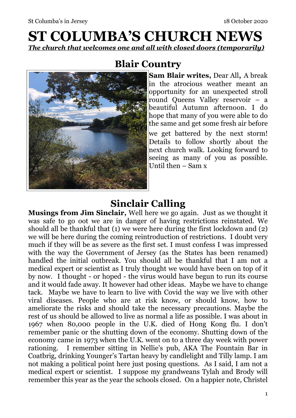# **ST COLUMBA'S CHURCH NEWS**  *The church that welcomes one and all with closed doors (temporarily)*



## **Blair Country**

**Sam Blair writes,** Dear All, A break in the atrocious weather meant an opportunity for an unexpected stroll round Queens Valley reservoir – a beautiful Autumn afternoon. I do hope that many of you were able to do the same and get some fresh air before we get battered by the next storm! Details to follow shortly about the next church walk. Looking forward to seeing as many of you as possible. Until then – Sam x

## **Sinclair Calling**

**Musings from Jim Sinclair,** Well here we go again. Just as we thought it was safe to go oot we are in danger of having restrictions reinstated. We should all be thankful that (1) we were here during the first lockdown and (2) we will be here during the coming reintroduction of restrictions. I doubt very much if they will be as severe as the first set. I must confess I was impressed with the way the Government of Jersey (as the States has been renamed) handled the initial outbreak. You should all be thankful that I am not a medical expert or scientist as I truly thought we would have been on top of it by now. I thought - or hoped - the virus would have begun to run its course and it would fade away. It however had other ideas. Maybe we have to change tack. Maybe we have to learn to live with Covid the way we live with other viral diseases. People who are at risk know, or should know, how to ameliorate the risks and should take the necessary precautions. Maybe the rest of us should be allowed to live as normal a life as possible. I was about in 1967 when 80,000 people in the U.K. died of Hong Kong flu. I don't remember panic or the shutting down of the economy. Shutting down of the economy came in 1973 when the U.K. went on to a three day week with power rationing. I remember sitting in Nellie's pub, AKA The Fountain Bar in Coatbrig, drinking Younger's Tartan heavy by candlelight and Tilly lamp. I am not making a political point here just posing questions. As I said, I am not a medical expert or scientist. I suppose my grandweans Tylah and Brody will remember this year as the year the schools closed. On a happier note, Christel